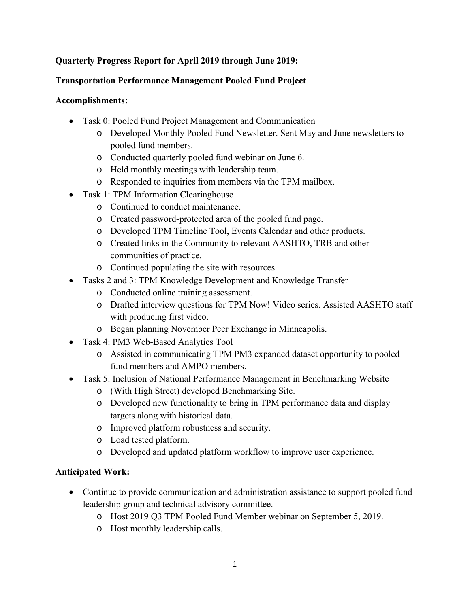# **Quarterly Progress Report for April 2019 through June 2019:**

# **Transportation Performance Management Pooled Fund Project**

### **Accomplishments:**

- Task 0: Pooled Fund Project Management and Communication
	- o Developed Monthly Pooled Fund Newsletter. Sent May and June newsletters to pooled fund members.
	- o Conducted quarterly pooled fund webinar on June 6.
	- o Held monthly meetings with leadership team.
	- o Responded to inquiries from members via the TPM mailbox.
- Task 1: TPM Information Clearinghouse
	- o Continued to conduct maintenance.
	- o Created password-protected area of the pooled fund page.
	- o Developed TPM Timeline Tool, Events Calendar and other products.
	- o Created links in the Community to relevant AASHTO, TRB and other communities of practice.
	- o Continued populating the site with resources.
- Tasks 2 and 3: TPM Knowledge Development and Knowledge Transfer
	- o Conducted online training assessment.
	- o Drafted interview questions for TPM Now! Video series. Assisted AASHTO staff with producing first video.
	- o Began planning November Peer Exchange in Minneapolis.
- Task 4: PM3 Web-Based Analytics Tool
	- o Assisted in communicating TPM PM3 expanded dataset opportunity to pooled fund members and AMPO members.
- Task 5: Inclusion of National Performance Management in Benchmarking Website
	- o (With High Street) developed Benchmarking Site.
	- o Developed new functionality to bring in TPM performance data and display targets along with historical data.
	- o Improved platform robustness and security.
	- o Load tested platform.
	- o Developed and updated platform workflow to improve user experience.

# **Anticipated Work:**

- Continue to provide communication and administration assistance to support pooled fund leadership group and technical advisory committee.
	- o Host 2019 Q3 TPM Pooled Fund Member webinar on September 5, 2019.
	- o Host monthly leadership calls.